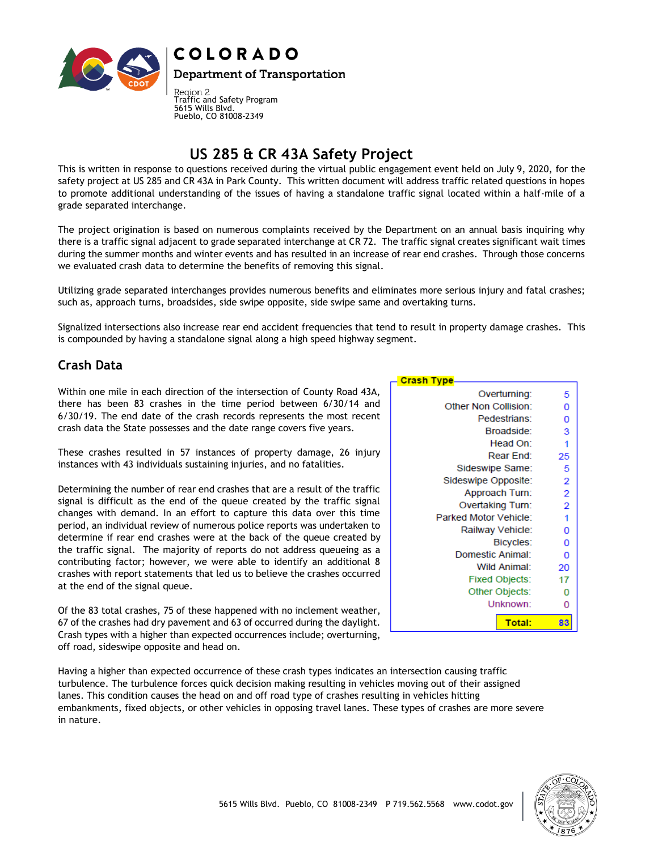

## **COLORADO**

**Department of Transportation** 

Region 2<br>Traffic and Safety Program 5615 Wills Blvd. Pueblo, CO 81008-2349

# **US 285 & CR 43A Safety Project**

This is written in response to questions received during the virtual public engagement event held on July 9, 2020, for the safety project at US 285 and CR 43A in Park County. This written document will address traffic related questions in hopes to promote additional understanding of the issues of having a standalone traffic signal located within a half-mile of a grade separated interchange.

The project origination is based on numerous complaints received by the Department on an annual basis inquiring why there is a traffic signal adjacent to grade separated interchange at CR 72. The traffic signal creates significant wait times during the summer months and winter events and has resulted in an increase of rear end crashes. Through those concerns we evaluated crash data to determine the benefits of removing this signal.

Utilizing grade separated interchanges provides numerous benefits and eliminates more serious injury and fatal crashes; such as, approach turns, broadsides, side swipe opposite, side swipe same and overtaking turns.

Signalized intersections also increase rear end accident frequencies that tend to result in property damage crashes. This is compounded by having a standalone signal along a high speed highway segment.

**Crash Type** 

Overturning:

Pedestrians:

Broadside:

Head On:

Rear End:

Sideswipe Same:

Approach Turn:

Overtaking Turn:

Railway Vehicle:

Domestic Animal:

**Wild Animal:** 

**Fixed Objects:** 

Other Objects:

Unknown:

Total:

Bicycles:

Sideswipe Opposite:

Parked Motor Vehicle:

Other Non Collision:

5

0

 $\Omega$ 

3

1

25

5

 $\overline{2}$ 

 $\overline{2}$ 

 $\overline{2}$ 

1

0

0

0

20

17

0

0

83

### **Crash Data**

Within one mile in each direction of the intersection of County Road 43A, there has been 83 crashes in the time period between 6/30/14 and 6/30/19. The end date of the crash records represents the most recent crash data the State possesses and the date range covers five years.

These crashes resulted in 57 instances of property damage, 26 injury instances with 43 individuals sustaining injuries, and no fatalities.

Determining the number of rear end crashes that are a result of the traffic signal is difficult as the end of the queue created by the traffic signal changes with demand. In an effort to capture this data over this time period, an individual review of numerous police reports was undertaken to determine if rear end crashes were at the back of the queue created by the traffic signal. The majority of reports do not address queueing as a contributing factor; however, we were able to identify an additional 8 crashes with report statements that led us to believe the crashes occurred at the end of the signal queue.

Of the 83 total crashes, 75 of these happened with no inclement weather, 67 of the crashes had dry pavement and 63 of occurred during the daylight. Crash types with a higher than expected occurrences include; overturning, off road, sideswipe opposite and head on.

Having a higher than expected occurrence of these crash types indicates an intersection causing traffic turbulence. The turbulence forces quick decision making resulting in vehicles moving out of their assigned lanes. This condition causes the head on and off road type of crashes resulting in vehicles hitting embankments, fixed objects, or other vehicles in opposing travel lanes. These types of crashes are more severe in nature.

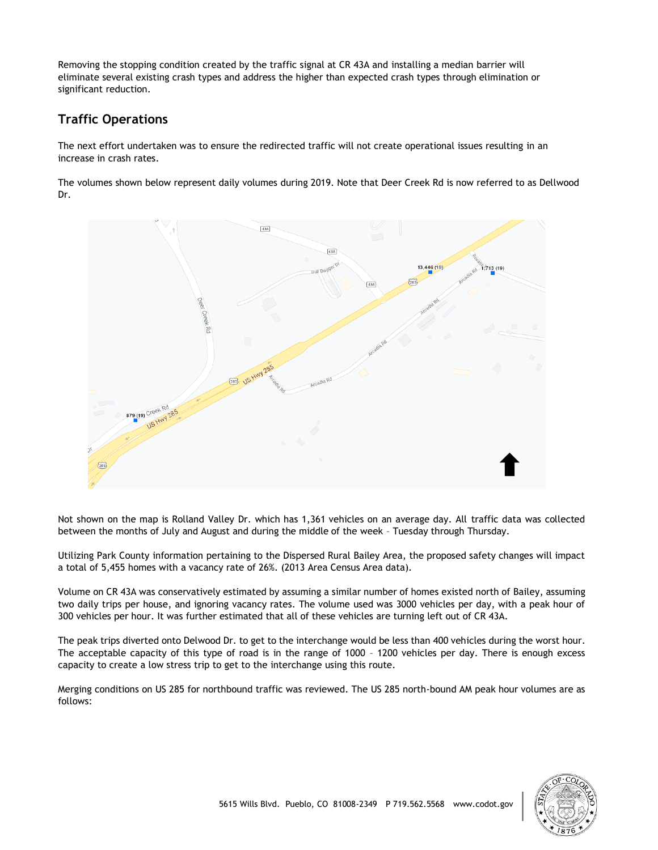Removing the stopping condition created by the traffic signal at CR 43A and installing a median barrier will eliminate several existing crash types and address the higher than expected crash types through elimination or significant reduction.

### **Traffic Operations**

The next effort undertaken was to ensure the redirected traffic will not create operational issues resulting in an increase in crash rates.

The volumes shown below represent daily volumes during 2019. Note that Deer Creek Rd is now referred to as Dellwood Dr.



Not shown on the map is Rolland Valley Dr. which has 1,361 vehicles on an average day. All traffic data was collected between the months of July and August and during the middle of the week – Tuesday through Thursday.

Utilizing Park County information pertaining to the Dispersed Rural Bailey Area, the proposed safety changes will impact a total of 5,455 homes with a vacancy rate of 26%. (2013 Area Census Area data).

Volume on CR 43A was conservatively estimated by assuming a similar number of homes existed north of Bailey, assuming two daily trips per house, and ignoring vacancy rates. The volume used was 3000 vehicles per day, with a peak hour of 300 vehicles per hour. It was further estimated that all of these vehicles are turning left out of CR 43A.

The peak trips diverted onto Delwood Dr. to get to the interchange would be less than 400 vehicles during the worst hour. The acceptable capacity of this type of road is in the range of 1000 – 1200 vehicles per day. There is enough excess capacity to create a low stress trip to get to the interchange using this route.

Merging conditions on US 285 for northbound traffic was reviewed. The US 285 north-bound AM peak hour volumes are as follows: